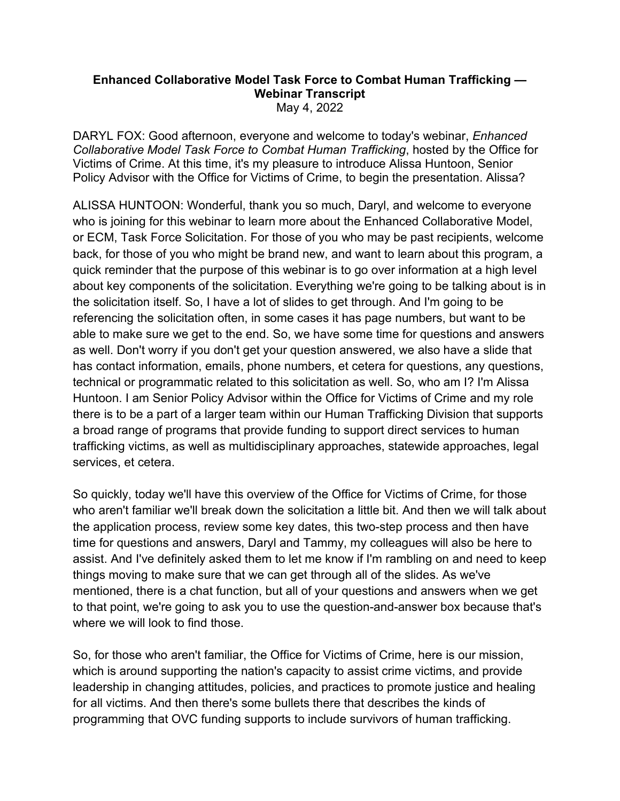## **Enhanced Collaborative Model Task Force to Combat Human Trafficking — Webinar Transcript** May 4, 2022

 Policy Advisor with the Office for Victims of Crime, to begin the presentation. Alissa? DARYL FOX: Good afternoon, everyone and welcome to today's webinar, *Enhanced Collaborative Model Task Force to Combat Human Trafficking*, hosted by the Office for Victims of Crime. At this time, it's my pleasure to introduce Alissa Huntoon, Senior

 who is joining for this webinar to learn more about the Enhanced Collaborative Model, or ECM, Task Force Solicitation. For those of you who may be past recipients, welcome Huntoon. I am Senior Policy Advisor within the Office for Victims of Crime and my role services, et cetera. ALISSA HUNTOON: Wonderful, thank you so much, Daryl, and welcome to everyone back, for those of you who might be brand new, and want to learn about this program, a quick reminder that the purpose of this webinar is to go over information at a high level about key components of the solicitation. Everything we're going to be talking about is in the solicitation itself. So, I have a lot of slides to get through. And I'm going to be referencing the solicitation often, in some cases it has page numbers, but want to be able to make sure we get to the end. So, we have some time for questions and answers as well. Don't worry if you don't get your question answered, we also have a slide that has contact information, emails, phone numbers, et cetera for questions, any questions, technical or programmatic related to this solicitation as well. So, who am I? I'm Alissa there is to be a part of a larger team within our Human Trafficking Division that supports a broad range of programs that provide funding to support direct services to human trafficking victims, as well as multidisciplinary approaches, statewide approaches, legal

 who aren't familiar we'll break down the solicitation a little bit. And then we will talk about mentioned, there is a chat function, but all of your questions and answers when we get So quickly, today we'll have this overview of the Office for Victims of Crime, for those the application process, review some key dates, this two-step process and then have time for questions and answers, Daryl and Tammy, my colleagues will also be here to assist. And I've definitely asked them to let me know if I'm rambling on and need to keep things moving to make sure that we can get through all of the slides. As we've to that point, we're going to ask you to use the question-and-answer box because that's where we will look to find those.

 So, for those who aren't familiar, the Office for Victims of Crime, here is our mission, which is around supporting the nation's capacity to assist crime victims, and provide for all victims. And then there's some bullets there that describes the kinds of leadership in changing attitudes, policies, and practices to promote justice and healing programming that OVC funding supports to include survivors of human trafficking.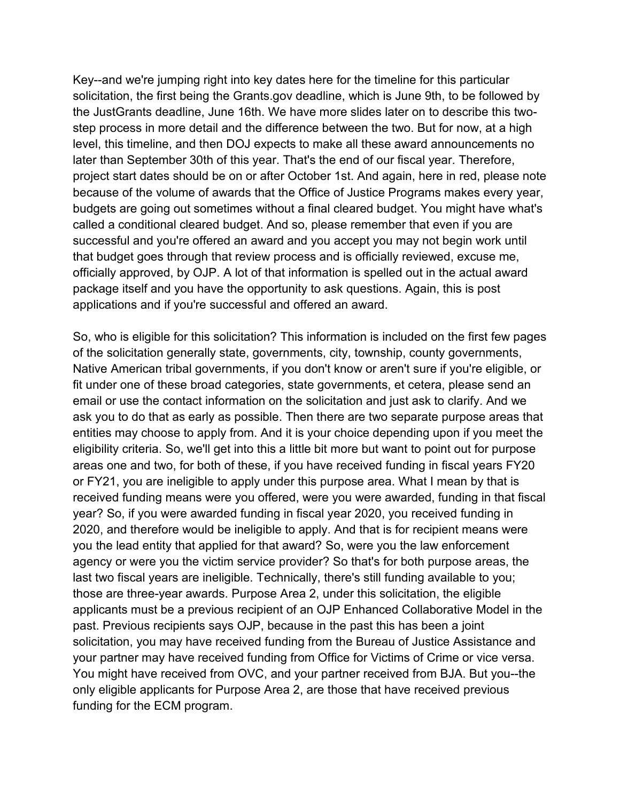step process in more detail and the difference between the two. But for now, at a high level, this timeline, and then DOJ expects to make all these award announcements no later than September 30th of this year. That's the end of our fiscal year. Therefore, budgets are going out sometimes without a final cleared budget. You might have what's package itself and you have the opportunity to ask questions. Again, this is post Key--and we're jumping right into key dates here for the timeline for this particular solicitation, the first being the [Grants.gov](https://Grants.gov) deadline, which is June 9th, to be followed by the JustGrants deadline, June 16th. We have more slides later on to describe this twoproject start dates should be on or after October 1st. And again, here in red, please note because of the volume of awards that the Office of Justice Programs makes every year, called a conditional cleared budget. And so, please remember that even if you are successful and you're offered an award and you accept you may not begin work until that budget goes through that review process and is officially reviewed, excuse me, officially approved, by OJP. A lot of that information is spelled out in the actual award applications and if you're successful and offered an award.

 So, who is eligible for this solicitation? This information is included on the first few pages entities may choose to apply from. And it is your choice depending upon if you meet the areas one and two, for both of these, if you have received funding in fiscal years FY20 applicants must be a previous recipient of an OJP Enhanced Collaborative Model in the past. Previous recipients says OJP, because in the past this has been a joint solicitation, you may have received funding from the Bureau of Justice Assistance and of the solicitation generally state, governments, city, township, county governments, Native American tribal governments, if you don't know or aren't sure if you're eligible, or fit under one of these broad categories, state governments, et cetera, please send an email or use the contact information on the solicitation and just ask to clarify. And we ask you to do that as early as possible. Then there are two separate purpose areas that eligibility criteria. So, we'll get into this a little bit more but want to point out for purpose or FY21, you are ineligible to apply under this purpose area. What I mean by that is received funding means were you offered, were you were awarded, funding in that fiscal year? So, if you were awarded funding in fiscal year 2020, you received funding in 2020, and therefore would be ineligible to apply. And that is for recipient means were you the lead entity that applied for that award? So, were you the law enforcement agency or were you the victim service provider? So that's for both purpose areas, the last two fiscal years are ineligible. Technically, there's still funding available to you; those are three-year awards. Purpose Area 2, under this solicitation, the eligible your partner may have received funding from Office for Victims of Crime or vice versa. You might have received from OVC, and your partner received from BJA. But you--the only eligible applicants for Purpose Area 2, are those that have received previous funding for the ECM program.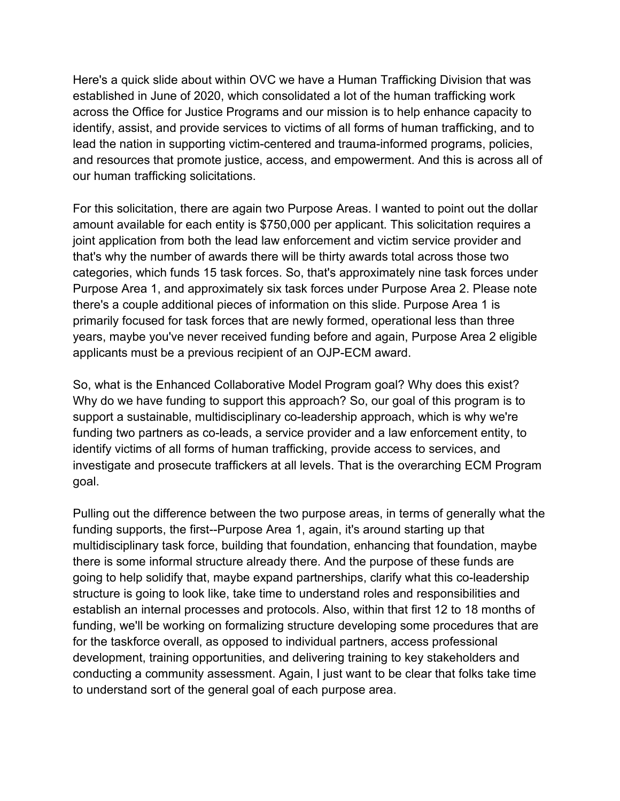Here's a quick slide about within OVC we have a Human Trafficking Division that was established in June of 2020, which consolidated a lot of the human trafficking work identify, assist, and provide services to victims of all forms of human trafficking, and to across the Office for Justice Programs and our mission is to help enhance capacity to lead the nation in supporting victim-centered and trauma-informed programs, policies, and resources that promote justice, access, and empowerment. And this is across all of our human trafficking solicitations.

 that's why the number of awards there will be thirty awards total across those two applicants must be a previous recipient of an OJP-ECM award. For this solicitation, there are again two Purpose Areas. I wanted to point out the dollar amount available for each entity is \$750,000 per applicant. This solicitation requires a joint application from both the lead law enforcement and victim service provider and categories, which funds 15 task forces. So, that's approximately nine task forces under Purpose Area 1, and approximately six task forces under Purpose Area 2. Please note there's a couple additional pieces of information on this slide. Purpose Area 1 is primarily focused for task forces that are newly formed, operational less than three years, maybe you've never received funding before and again, Purpose Area 2 eligible

So, what is the Enhanced Collaborative Model Program goal? Why does this exist? Why do we have funding to support this approach? So, our goal of this program is to support a sustainable, multidisciplinary co-leadership approach, which is why we're funding two partners as co-leads, a service provider and a law enforcement entity, to identify victims of all forms of human trafficking, provide access to services, and investigate and prosecute traffickers at all levels. That is the overarching ECM Program goal.

 going to help solidify that, maybe expand partnerships, clarify what this co-leadership development, training opportunities, and delivering training to key stakeholders and Pulling out the difference between the two purpose areas, in terms of generally what the funding supports, the first--Purpose Area 1, again, it's around starting up that multidisciplinary task force, building that foundation, enhancing that foundation, maybe there is some informal structure already there. And the purpose of these funds are structure is going to look like, take time to understand roles and responsibilities and establish an internal processes and protocols. Also, within that first 12 to 18 months of funding, we'll be working on formalizing structure developing some procedures that are for the taskforce overall, as opposed to individual partners, access professional conducting a community assessment. Again, I just want to be clear that folks take time to understand sort of the general goal of each purpose area.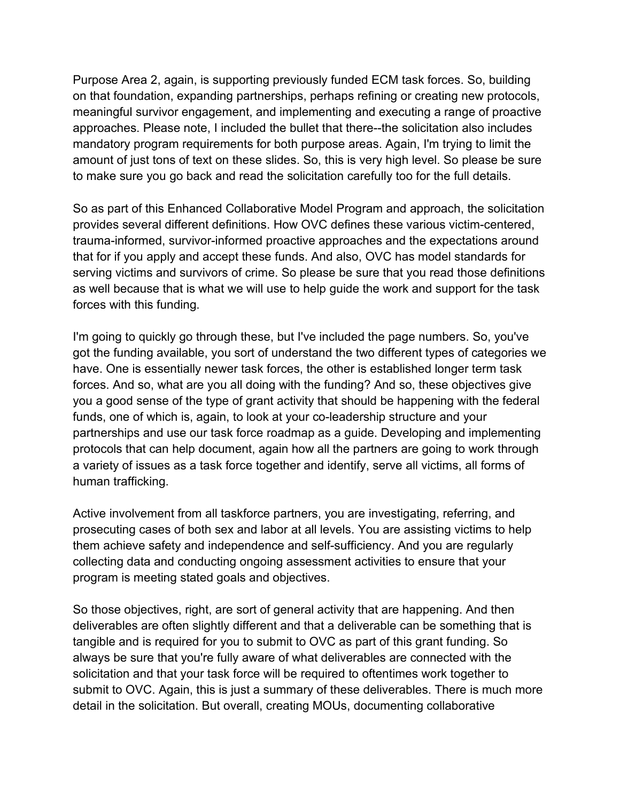amount of just tons of text on these slides. So, this is very high level. So please be sure Purpose Area 2, again, is supporting previously funded ECM task forces. So, building on that foundation, expanding partnerships, perhaps refining or creating new protocols, meaningful survivor engagement, and implementing and executing a range of proactive approaches. Please note, I included the bullet that there--the solicitation also includes mandatory program requirements for both purpose areas. Again, I'm trying to limit the to make sure you go back and read the solicitation carefully too for the full details.

 So as part of this Enhanced Collaborative Model Program and approach, the solicitation provides several different definitions. How OVC defines these various victim-centered, trauma-informed, survivor-informed proactive approaches and the expectations around that for if you apply and accept these funds. And also, OVC has model standards for serving victims and survivors of crime. So please be sure that you read those definitions as well because that is what we will use to help guide the work and support for the task forces with this funding.

 you a good sense of the type of grant activity that should be happening with the federal a variety of issues as a task force together and identify, serve all victims, all forms of I'm going to quickly go through these, but I've included the page numbers. So, you've got the funding available, you sort of understand the two different types of categories we have. One is essentially newer task forces, the other is established longer term task forces. And so, what are you all doing with the funding? And so, these objectives give funds, one of which is, again, to look at your co-leadership structure and your partnerships and use our task force roadmap as a guide. Developing and implementing protocols that can help document, again how all the partners are going to work through human trafficking.

Active involvement from all taskforce partners, you are investigating, referring, and prosecuting cases of both sex and labor at all levels. You are assisting victims to help them achieve safety and independence and self-sufficiency. And you are regularly collecting data and conducting ongoing assessment activities to ensure that your program is meeting stated goals and objectives.

 submit to OVC. Again, this is just a summary of these deliverables. There is much more So those objectives, right, are sort of general activity that are happening. And then deliverables are often slightly different and that a deliverable can be something that is tangible and is required for you to submit to OVC as part of this grant funding. So always be sure that you're fully aware of what deliverables are connected with the solicitation and that your task force will be required to oftentimes work together to detail in the solicitation. But overall, creating MOUs, documenting collaborative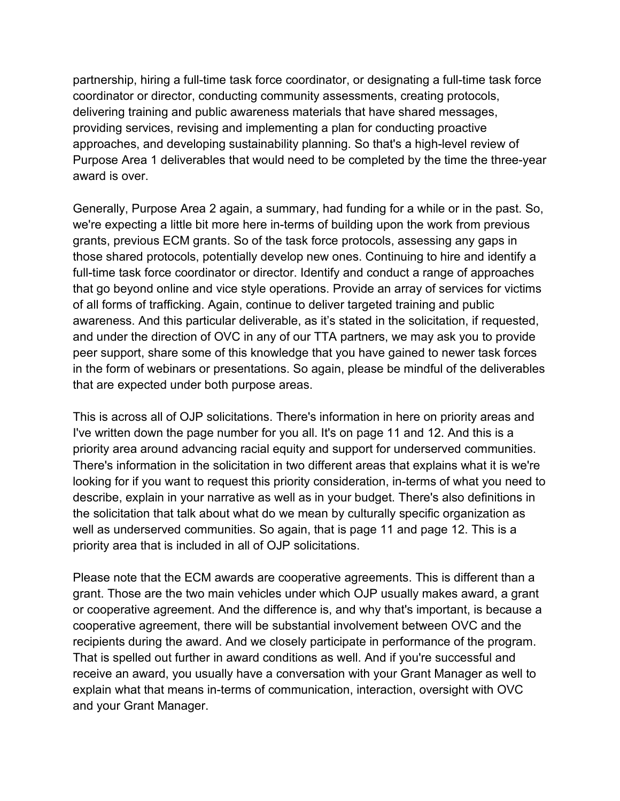delivering training and public awareness materials that have shared messages, partnership, hiring a full-time task force coordinator, or designating a full-time task force coordinator or director, conducting community assessments, creating protocols, providing services, revising and implementing a plan for conducting proactive approaches, and developing sustainability planning. So that's a high-level review of Purpose Area 1 deliverables that would need to be completed by the time the three-year award is over.

 grants, previous ECM grants. So of the task force protocols, assessing any gaps in full-time task force coordinator or director. Identify and conduct a range of approaches of all forms of trafficking. Again, continue to deliver targeted training and public awareness. And this particular deliverable, as it's stated in the solicitation, if requested, Generally, Purpose Area 2 again, a summary, had funding for a while or in the past. So, we're expecting a little bit more here in-terms of building upon the work from previous those shared protocols, potentially develop new ones. Continuing to hire and identify a that go beyond online and vice style operations. Provide an array of services for victims and under the direction of OVC in any of our TTA partners, we may ask you to provide peer support, share some of this knowledge that you have gained to newer task forces in the form of webinars or presentations. So again, please be mindful of the deliverables that are expected under both purpose areas.

 I've written down the page number for you all. It's on page 11 and 12. And this is a well as underserved communities. So again, that is page 11 and page 12. This is a This is across all of OJP solicitations. There's information in here on priority areas and priority area around advancing racial equity and support for underserved communities. There's information in the solicitation in two different areas that explains what it is we're looking for if you want to request this priority consideration, in-terms of what you need to describe, explain in your narrative as well as in your budget. There's also definitions in the solicitation that talk about what do we mean by culturally specific organization as priority area that is included in all of OJP solicitations.

 or cooperative agreement. And the difference is, and why that's important, is because a Please note that the ECM awards are cooperative agreements. This is different than a grant. Those are the two main vehicles under which OJP usually makes award, a grant cooperative agreement, there will be substantial involvement between OVC and the recipients during the award. And we closely participate in performance of the program. That is spelled out further in award conditions as well. And if you're successful and receive an award, you usually have a conversation with your Grant Manager as well to explain what that means in-terms of communication, interaction, oversight with OVC and your Grant Manager.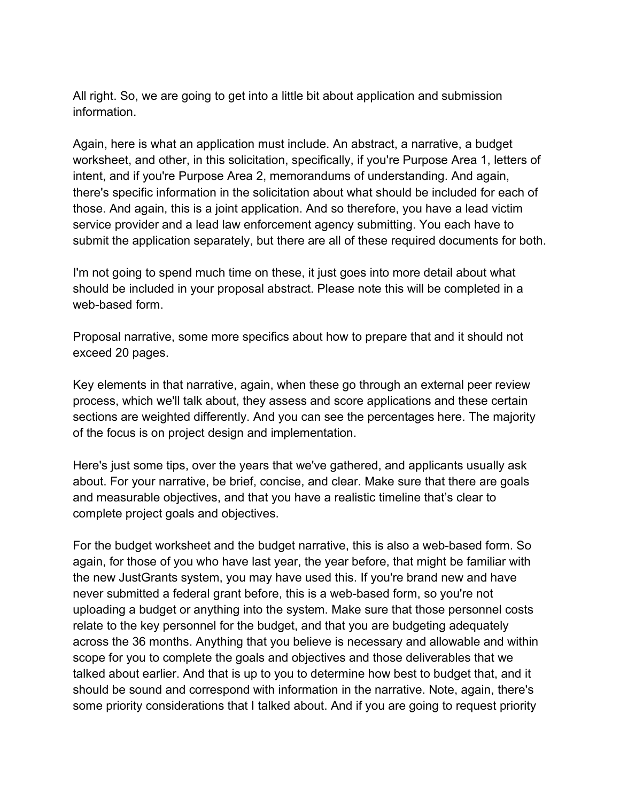All right. So, we are going to get into a little bit about application and submission information.

 worksheet, and other, in this solicitation, specifically, if you're Purpose Area 1, letters of Again, here is what an application must include. An abstract, a narrative, a budget intent, and if you're Purpose Area 2, memorandums of understanding. And again, there's specific information in the solicitation about what should be included for each of those. And again, this is a joint application. And so therefore, you have a lead victim service provider and a lead law enforcement agency submitting. You each have to submit the application separately, but there are all of these required documents for both.

I'm not going to spend much time on these, it just goes into more detail about what should be included in your proposal abstract. Please note this will be completed in a web-based form.

Proposal narrative, some more specifics about how to prepare that and it should not exceed 20 pages.

 Key elements in that narrative, again, when these go through an external peer review process, which we'll talk about, they assess and score applications and these certain sections are weighted differently. And you can see the percentages here. The majority of the focus is on project design and implementation.

 Here's just some tips, over the years that we've gathered, and applicants usually ask about. For your narrative, be brief, concise, and clear. Make sure that there are goals and measurable objectives, and that you have a realistic timeline that's clear to complete project goals and objectives.

 For the budget worksheet and the budget narrative, this is also a web-based form. So the new JustGrants system, you may have used this. If you're brand new and have never submitted a federal grant before, this is a web-based form, so you're not uploading a budget or anything into the system. Make sure that those personnel costs should be sound and correspond with information in the narrative. Note, again, there's again, for those of you who have last year, the year before, that might be familiar with relate to the key personnel for the budget, and that you are budgeting adequately across the 36 months. Anything that you believe is necessary and allowable and within scope for you to complete the goals and objectives and those deliverables that we talked about earlier. And that is up to you to determine how best to budget that, and it some priority considerations that I talked about. And if you are going to request priority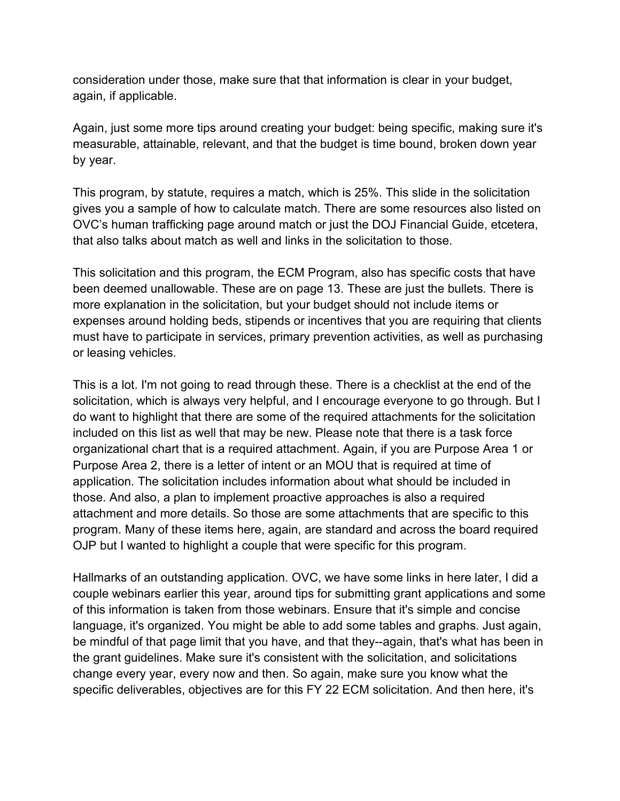consideration under those, make sure that that information is clear in your budget, again, if applicable.

 measurable, attainable, relevant, and that the budget is time bound, broken down year Again, just some more tips around creating your budget: being specific, making sure it's by year.

 This program, by statute, requires a match, which is 25%. This slide in the solicitation gives you a sample of how to calculate match. There are some resources also listed on OVC's human trafficking page around match or just the DOJ Financial Guide, etcetera, that also talks about match as well and links in the solicitation to those.

 This solicitation and this program, the ECM Program, also has specific costs that have been deemed unallowable. These are on page 13. These are just the bullets. There is more explanation in the solicitation, but your budget should not include items or expenses around holding beds, stipends or incentives that you are requiring that clients must have to participate in services, primary prevention activities, as well as purchasing or leasing vehicles.

 This is a lot. I'm not going to read through these. There is a checklist at the end of the included on this list as well that may be new. Please note that there is a task force attachment and more details. So those are some attachments that are specific to this solicitation, which is always very helpful, and I encourage everyone to go through. But I do want to highlight that there are some of the required attachments for the solicitation organizational chart that is a required attachment. Again, if you are Purpose Area 1 or Purpose Area 2, there is a letter of intent or an MOU that is required at time of application. The solicitation includes information about what should be included in those. And also, a plan to implement proactive approaches is also a required program. Many of these items here, again, are standard and across the board required OJP but I wanted to highlight a couple that were specific for this program.

 couple webinars earlier this year, around tips for submitting grant applications and some specific deliverables, objectives are for this FY 22 ECM solicitation. And then here, it's Hallmarks of an outstanding application. OVC, we have some links in here later, I did a of this information is taken from those webinars. Ensure that it's simple and concise language, it's organized. You might be able to add some tables and graphs. Just again, be mindful of that page limit that you have, and that they--again, that's what has been in the grant guidelines. Make sure it's consistent with the solicitation, and solicitations change every year, every now and then. So again, make sure you know what the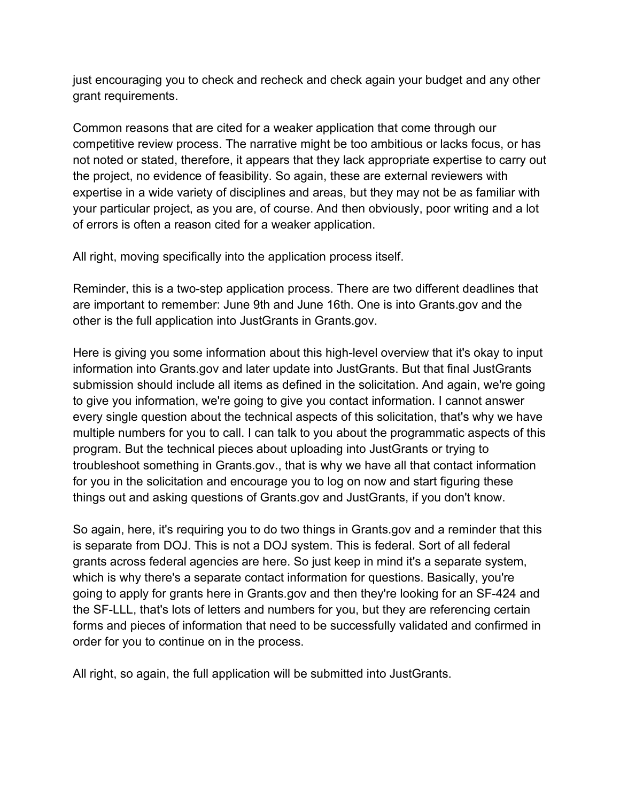just encouraging you to check and recheck and check again your budget and any other grant requirements.

 Common reasons that are cited for a weaker application that come through our competitive review process. The narrative might be too ambitious or lacks focus, or has expertise in a wide variety of disciplines and areas, but they may not be as familiar with your particular project, as you are, of course. And then obviously, poor writing and a lot not noted or stated, therefore, it appears that they lack appropriate expertise to carry out the project, no evidence of feasibility. So again, these are external reviewers with of errors is often a reason cited for a weaker application.

All right, moving specifically into the application process itself.

 are important to remember: June 9th and June 16th. One is into [Grants.gov](https://Grants.gov) and the Reminder, this is a two-step application process. There are two different deadlines that other is the full application into JustGrants in [Grants.gov.](https://Grants.gov)

 information into [Grants.gov](https://Grants.gov) and later update into JustGrants. But that final JustGrants program. But the technical pieces about uploading into JustGrants or trying to Here is giving you some information about this high-level overview that it's okay to input submission should include all items as defined in the solicitation. And again, we're going to give you information, we're going to give you contact information. I cannot answer every single question about the technical aspects of this solicitation, that's why we have multiple numbers for you to call. I can talk to you about the programmatic aspects of this troubleshoot something in [Grants.gov.](https://Grants.gov), that is why we have all that contact information for you in the solicitation and encourage you to log on now and start figuring these things out and asking questions of [Grants.gov](https://Grants.gov) and JustGrants, if you don't know.

So again, here, it's requiring you to do two things in [Grants.gov](https://Grants.gov) and a reminder that this is separate from DOJ. This is not a DOJ system. This is federal. Sort of all federal grants across federal agencies are here. So just keep in mind it's a separate system, which is why there's a separate contact information for questions. Basically, you're going to apply for grants here in [Grants.gov](https://Grants.gov) and then they're looking for an SF-424 and the SF-LLL, that's lots of letters and numbers for you, but they are referencing certain forms and pieces of information that need to be successfully validated and confirmed in order for you to continue on in the process.

All right, so again, the full application will be submitted into JustGrants.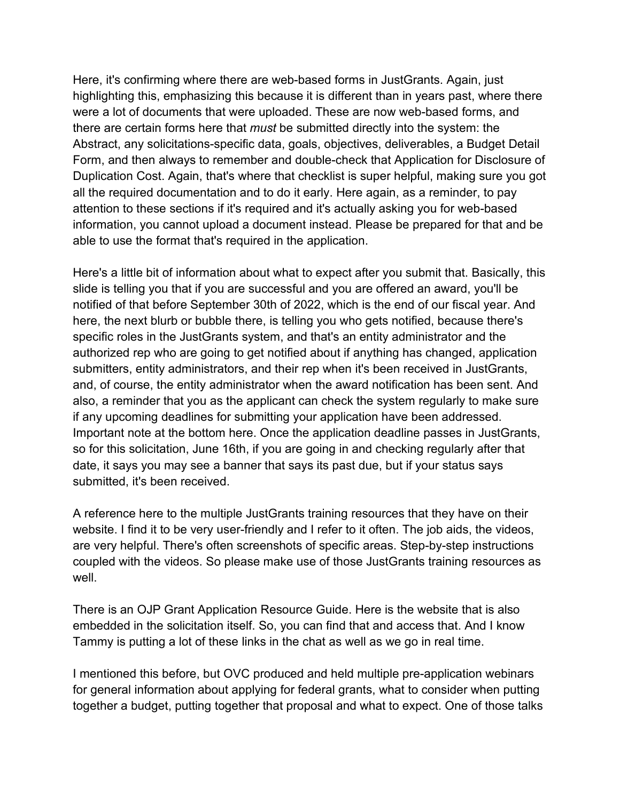information, you cannot upload a document instead. Please be prepared for that and be Here, it's confirming where there are web-based forms in JustGrants. Again, just highlighting this, emphasizing this because it is different than in years past, where there were a lot of documents that were uploaded. These are now web-based forms, and there are certain forms here that *must* be submitted directly into the system: the Abstract, any solicitations-specific data, goals, objectives, deliverables, a Budget Detail Form, and then always to remember and double-check that Application for Disclosure of Duplication Cost. Again, that's where that checklist is super helpful, making sure you got all the required documentation and to do it early. Here again, as a reminder, to pay attention to these sections if it's required and it's actually asking you for web-based able to use the format that's required in the application.

 submitters, entity administrators, and their rep when it's been received in JustGrants, date, it says you may see a banner that says its past due, but if your status says Here's a little bit of information about what to expect after you submit that. Basically, this slide is telling you that if you are successful and you are offered an award, you'll be notified of that before September 30th of 2022, which is the end of our fiscal year. And here, the next blurb or bubble there, is telling you who gets notified, because there's specific roles in the JustGrants system, and that's an entity administrator and the authorized rep who are going to get notified about if anything has changed, application and, of course, the entity administrator when the award notification has been sent. And also, a reminder that you as the applicant can check the system regularly to make sure if any upcoming deadlines for submitting your application have been addressed. Important note at the bottom here. Once the application deadline passes in JustGrants, so for this solicitation, June 16th, if you are going in and checking regularly after that submitted, it's been received.

 website. I find it to be very user-friendly and I refer to it often. The job aids, the videos, A reference here to the multiple JustGrants training resources that they have on their are very helpful. There's often screenshots of specific areas. Step-by-step instructions coupled with the videos. So please make use of those JustGrants training resources as well.

There is an OJP Grant Application Resource Guide. Here is the website that is also embedded in the solicitation itself. So, you can find that and access that. And I know Tammy is putting a lot of these links in the chat as well as we go in real time.

 together a budget, putting together that proposal and what to expect. One of those talks I mentioned this before, but OVC produced and held multiple pre-application webinars for general information about applying for federal grants, what to consider when putting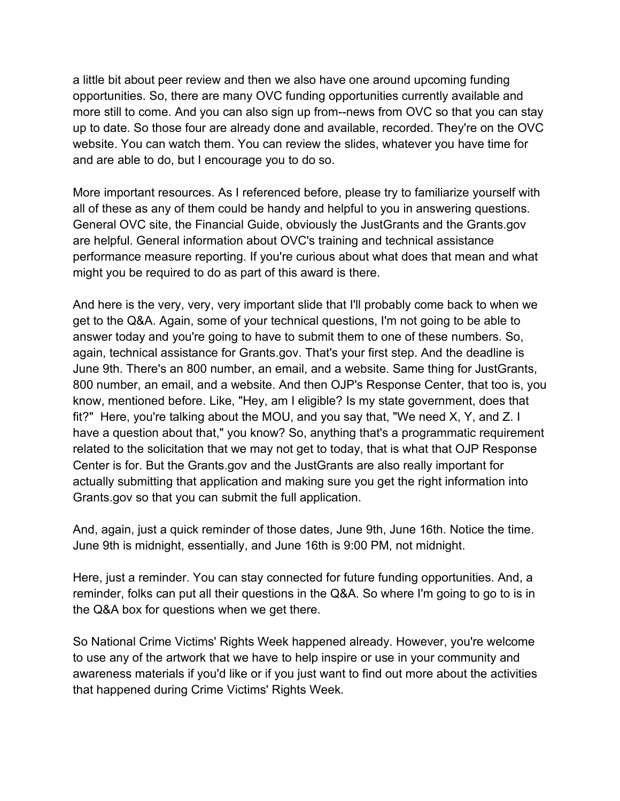a little bit about peer review and then we also have one around upcoming funding opportunities. So, there are many OVC funding opportunities currently available and more still to come. And you can also sign up from--news from OVC so that you can stay up to date. So those four are already done and available, recorded. They're on the OVC website. You can watch them. You can review the slides, whatever you have time for and are able to do, but I encourage you to do so.

 performance measure reporting. If you're curious about what does that mean and what might you be required to do as part of this award is there. More important resources. As I referenced before, please try to familiarize yourself with all of these as any of them could be handy and helpful to you in answering questions. General OVC site, the Financial Guide, obviously the JustGrants and the [Grants.gov](https://Grants.gov)  are helpful. General information about OVC's training and technical assistance

 And here is the very, very, very important slide that I'll probably come back to when we 800 number, an email, and a website. And then OJP's Response Center, that too is, you know, mentioned before. Like, "Hey, am I eligible? Is my state government, does that fit?" Here, you're talking about the MOU, and you say that, "We need X, Y, and Z. I get to the Q&A. Again, some of your technical questions, I'm not going to be able to answer today and you're going to have to submit them to one of these numbers. So, again, technical assistance for [Grants.gov.](https://Grants.gov) That's your first step. And the deadline is June 9th. There's an 800 number, an email, and a website. Same thing for JustGrants, have a question about that," you know? So, anything that's a programmatic requirement related to the solicitation that we may not get to today, that is what that OJP Response Center is for. But the [Grants.gov](https://Grants.gov) and the JustGrants are also really important for actually submitting that application and making sure you get the right information into [Grants.gov](https://Grants.gov) so that you can submit the full application.

And, again, just a quick reminder of those dates, June 9th, June 16th. Notice the time. June 9th is midnight, essentially, and June 16th is 9:00 PM, not midnight.

Here, just a reminder. You can stay connected for future funding opportunities. And, a reminder, folks can put all their questions in the Q&A. So where I'm going to go to is in the Q&A box for questions when we get there.

So National Crime Victims' Rights Week happened already. However, you're welcome to use any of the artwork that we have to help inspire or use in your community and awareness materials if you'd like or if you just want to find out more about the activities that happened during Crime Victims' Rights Week*.*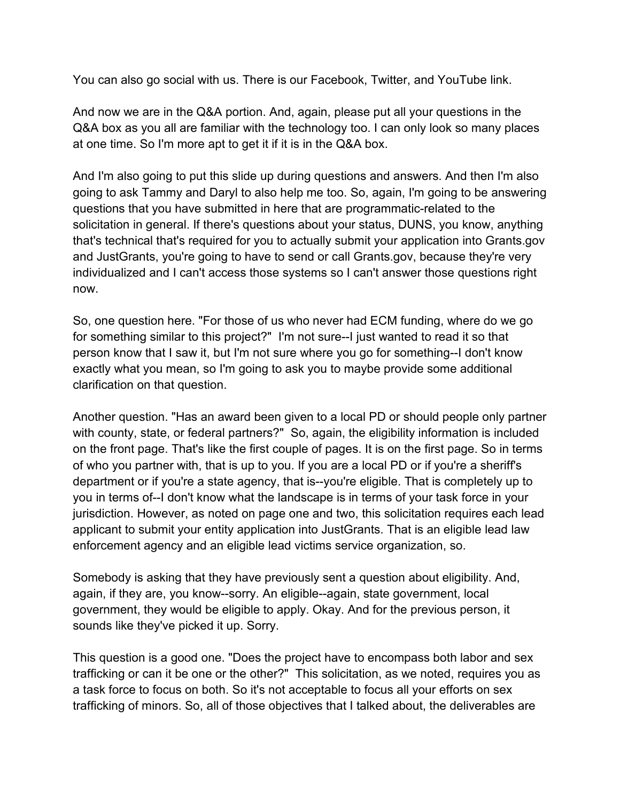You can also go social with us. There is our Facebook, Twitter, and YouTube link.

And now we are in the Q&A portion. And, again, please put all your questions in the Q&A box as you all are familiar with the technology too. I can only look so many places at one time. So I'm more apt to get it if it is in the Q&A box.

 questions that you have submitted in here that are programmatic-related to the And I'm also going to put this slide up during questions and answers. And then I'm also going to ask Tammy and Daryl to also help me too. So, again, I'm going to be answering solicitation in general. If there's questions about your status, DUNS, you know, anything that's technical that's required for you to actually submit your application into [Grants.gov](https://Grants.gov) and JustGrants, you're going to have to send or call [Grants.gov,](https://Grants.gov) because they're very individualized and I can't access those systems so I can't answer those questions right now.

 So, one question here. "For those of us who never had ECM funding, where do we go for something similar to this project?" I'm not sure--I just wanted to read it so that person know that I saw it, but I'm not sure where you go for something--I don't know exactly what you mean, so I'm going to ask you to maybe provide some additional clarification on that question.

 Another question. "Has an award been given to a local PD or should people only partner with county, state, or federal partners?" So, again, the eligibility information is included department or if you're a state agency, that is--you're eligible. That is completely up to on the front page. That's like the first couple of pages. It is on the first page. So in terms of who you partner with, that is up to you. If you are a local PD or if you're a sheriff's you in terms of--I don't know what the landscape is in terms of your task force in your jurisdiction. However, as noted on page one and two, this solicitation requires each lead applicant to submit your entity application into JustGrants. That is an eligible lead law enforcement agency and an eligible lead victims service organization, so.

Somebody is asking that they have previously sent a question about eligibility. And, again, if they are, you know--sorry. An eligible--again, state government, local government, they would be eligible to apply. Okay. And for the previous person, it sounds like they've picked it up. Sorry.

 This question is a good one. "Does the project have to encompass both labor and sex trafficking or can it be one or the other?" This solicitation, as we noted, requires you as a task force to focus on both. So it's not acceptable to focus all your efforts on sex trafficking of minors. So, all of those objectives that I talked about, the deliverables are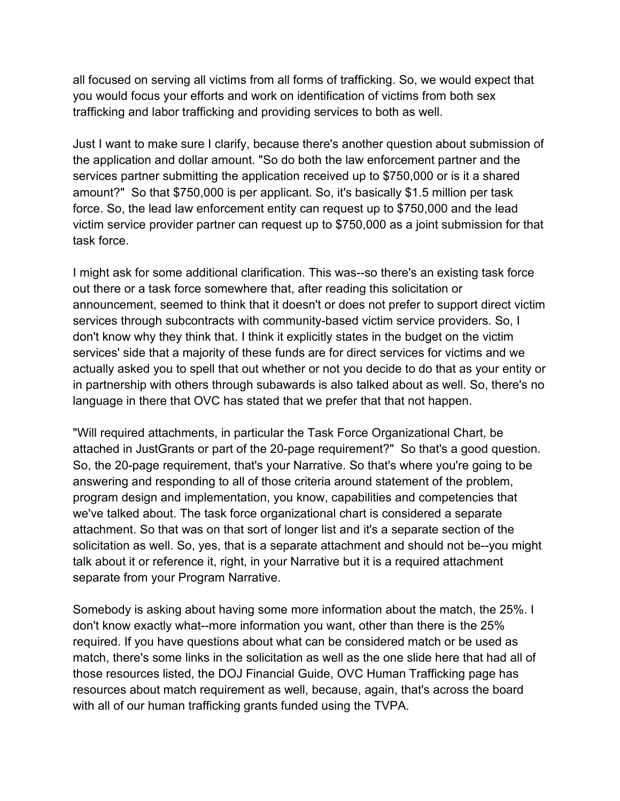trafficking and labor trafficking and providing services to both as well. all focused on serving all victims from all forms of trafficking. So, we would expect that you would focus your efforts and work on identification of victims from both sex

 the application and dollar amount. "So do both the law enforcement partner and the amount?" So that \$750,000 is per applicant. So, it's basically \$1.5 million per task Just I want to make sure I clarify, because there's another question about submission of services partner submitting the application received up to \$750,000 or is it a shared force. So, the lead law enforcement entity can request up to \$750,000 and the lead victim service provider partner can request up to \$750,000 as a joint submission for that task force.

 announcement, seemed to think that it doesn't or does not prefer to support direct victim services' side that a majority of these funds are for direct services for victims and we I might ask for some additional clarification. This was--so there's an existing task force out there or a task force somewhere that, after reading this solicitation or services through subcontracts with community-based victim service providers. So, I don't know why they think that. I think it explicitly states in the budget on the victim actually asked you to spell that out whether or not you decide to do that as your entity or in partnership with others through subawards is also talked about as well. So, there's no language in there that OVC has stated that we prefer that that not happen.

 attached in JustGrants or part of the 20-page requirement?" So that's a good question. "Will required attachments, in particular the Task Force Organizational Chart, be So, the 20-page requirement, that's your Narrative. So that's where you're going to be answering and responding to all of those criteria around statement of the problem, program design and implementation, you know, capabilities and competencies that we've talked about. The task force organizational chart is considered a separate attachment. So that was on that sort of longer list and it's a separate section of the solicitation as well. So, yes, that is a separate attachment and should not be--you might talk about it or reference it, right, in your Narrative but it is a required attachment separate from your Program Narrative.

 match, there's some links in the solicitation as well as the one slide here that had all of with all of our human trafficking grants funded using the TVPA. Somebody is asking about having some more information about the match, the 25%. I don't know exactly what--more information you want, other than there is the 25% required. If you have questions about what can be considered match or be used as those resources listed, the DOJ Financial Guide, OVC Human Trafficking page has resources about match requirement as well, because, again, that's across the board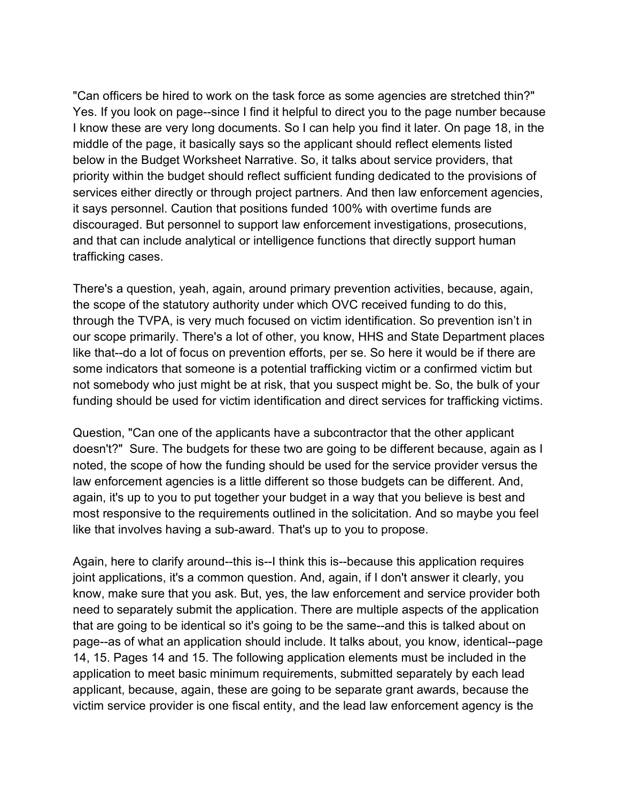"Can officers be hired to work on the task force as some agencies are stretched thin?" below in the Budget Worksheet Narrative. So, it talks about service providers, that services either directly or through project partners. And then law enforcement agencies, it says personnel. Caution that positions funded 100% with overtime funds are Yes. If you look on page--since I find it helpful to direct you to the page number because I know these are very long documents. So I can help you find it later. On page 18, in the middle of the page, it basically says so the applicant should reflect elements listed priority within the budget should reflect sufficient funding dedicated to the provisions of discouraged. But personnel to support law enforcement investigations, prosecutions, and that can include analytical or intelligence functions that directly support human trafficking cases.

 through the TVPA, is very much focused on victim identification. So prevention isn't in some indicators that someone is a potential trafficking victim or a confirmed victim but There's a question, yeah, again, around primary prevention activities, because, again, the scope of the statutory authority under which OVC received funding to do this, our scope primarily. There's a lot of other, you know, HHS and State Department places like that--do a lot of focus on prevention efforts, per se. So here it would be if there are not somebody who just might be at risk, that you suspect might be. So, the bulk of your funding should be used for victim identification and direct services for trafficking victims.

 doesn't?" Sure. The budgets for these two are going to be different because, again as I Question, "Can one of the applicants have a subcontractor that the other applicant noted, the scope of how the funding should be used for the service provider versus the law enforcement agencies is a little different so those budgets can be different. And, again, it's up to you to put together your budget in a way that you believe is best and most responsive to the requirements outlined in the solicitation. And so maybe you feel like that involves having a sub-award. That's up to you to propose.

 application to meet basic minimum requirements, submitted separately by each lead Again, here to clarify around--this is--I think this is--because this application requires joint applications, it's a common question. And, again, if I don't answer it clearly, you know, make sure that you ask. But, yes, the law enforcement and service provider both need to separately submit the application. There are multiple aspects of the application that are going to be identical so it's going to be the same--and this is talked about on page--as of what an application should include. It talks about, you know, identical--page 14, 15. Pages 14 and 15. The following application elements must be included in the applicant, because, again, these are going to be separate grant awards, because the victim service provider is one fiscal entity, and the lead law enforcement agency is the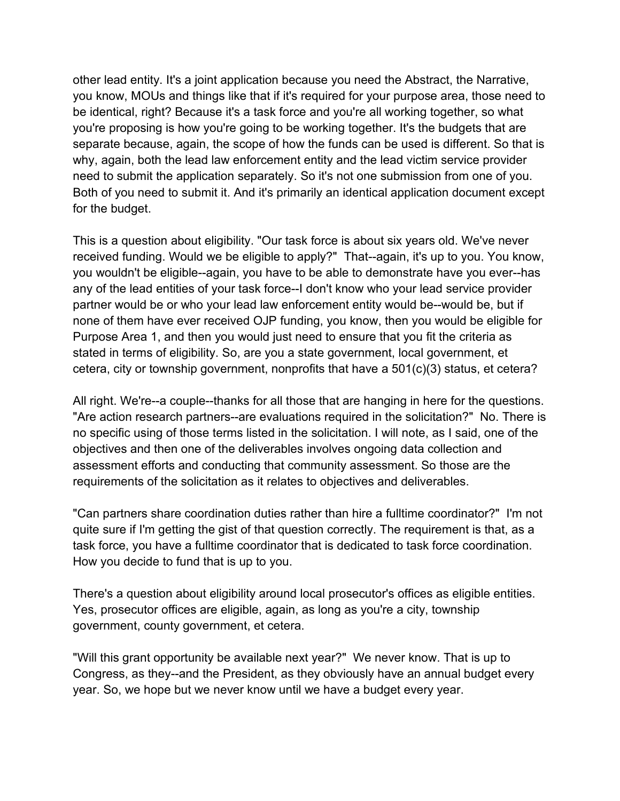other lead entity. It's a joint application because you need the Abstract, the Narrative, you know, MOUs and things like that if it's required for your purpose area, those need to be identical, right? Because it's a task force and you're all working together, so what you're proposing is how you're going to be working together. It's the budgets that are separate because, again, the scope of how the funds can be used is different. So that is why, again, both the lead law enforcement entity and the lead victim service provider need to submit the application separately. So it's not one submission from one of you. Both of you need to submit it. And it's primarily an identical application document except for the budget.

 received funding. Would we be eligible to apply?" That--again, it's up to you. You know, stated in terms of eligibility. So, are you a state government, local government, et This is a question about eligibility. "Our task force is about six years old. We've never you wouldn't be eligible--again, you have to be able to demonstrate have you ever--has any of the lead entities of your task force--I don't know who your lead service provider partner would be or who your lead law enforcement entity would be--would be, but if none of them have ever received OJP funding, you know, then you would be eligible for Purpose Area 1, and then you would just need to ensure that you fit the criteria as cetera, city or township government, nonprofits that have a 501(c)(3) status, et cetera?

 "Are action research partners--are evaluations required in the solicitation?" No. There is no specific using of those terms listed in the solicitation. I will note, as I said, one of the All right. We're--a couple--thanks for all those that are hanging in here for the questions. objectives and then one of the deliverables involves ongoing data collection and assessment efforts and conducting that community assessment. So those are the requirements of the solicitation as it relates to objectives and deliverables.

 "Can partners share coordination duties rather than hire a fulltime coordinator?" I'm not quite sure if I'm getting the gist of that question correctly. The requirement is that, as a task force, you have a fulltime coordinator that is dedicated to task force coordination. How you decide to fund that is up to you.

 There's a question about eligibility around local prosecutor's offices as eligible entities. Yes, prosecutor offices are eligible, again, as long as you're a city, township government, county government, et cetera.

 "Will this grant opportunity be available next year?" We never know. That is up to Congress, as they--and the President, as they obviously have an annual budget every year. So, we hope but we never know until we have a budget every year.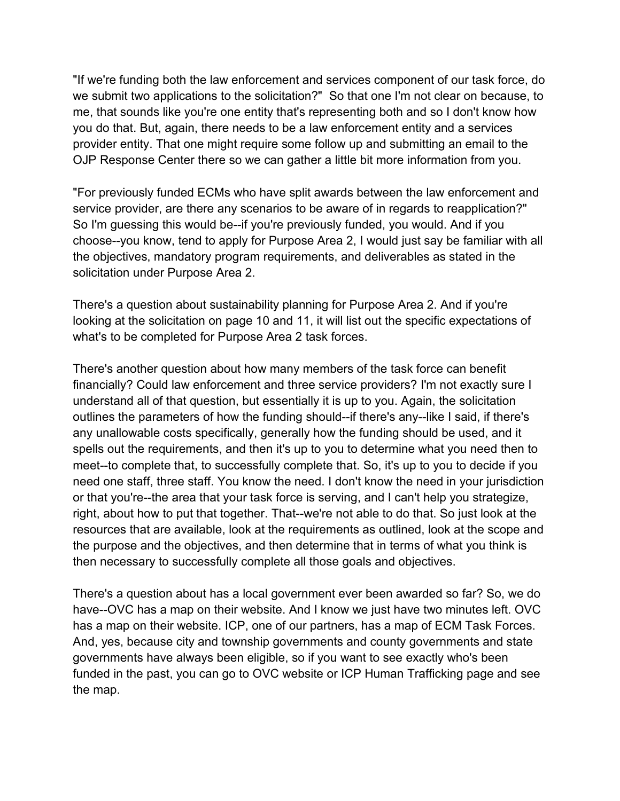we submit two applications to the solicitation?" So that one I'm not clear on because, to you do that. But, again, there needs to be a law enforcement entity and a services "If we're funding both the law enforcement and services component of our task force, do me, that sounds like you're one entity that's representing both and so I don't know how provider entity. That one might require some follow up and submitting an email to the OJP Response Center there so we can gather a little bit more information from you.

 "For previously funded ECMs who have split awards between the law enforcement and service provider, are there any scenarios to be aware of in regards to reapplication?" So I'm guessing this would be--if you're previously funded, you would. And if you choose--you know, tend to apply for Purpose Area 2, I would just say be familiar with all the objectives, mandatory program requirements, and deliverables as stated in the solicitation under Purpose Area 2.

There's a question about sustainability planning for Purpose Area 2. And if you're looking at the solicitation on page 10 and 11, it will list out the specific expectations of what's to be completed for Purpose Area 2 task forces.

 any unallowable costs specifically, generally how the funding should be used, and it right, about how to put that together. That--we're not able to do that. So just look at the There's another question about how many members of the task force can benefit financially? Could law enforcement and three service providers? I'm not exactly sure I understand all of that question, but essentially it is up to you. Again, the solicitation outlines the parameters of how the funding should--if there's any--like I said, if there's spells out the requirements, and then it's up to you to determine what you need then to meet--to complete that, to successfully complete that. So, it's up to you to decide if you need one staff, three staff. You know the need. I don't know the need in your jurisdiction or that you're--the area that your task force is serving, and I can't help you strategize, resources that are available, look at the requirements as outlined, look at the scope and the purpose and the objectives, and then determine that in terms of what you think is then necessary to successfully complete all those goals and objectives.

 has a map on their website. ICP, one of our partners, has a map of ECM Task Forces. There's a question about has a local government ever been awarded so far? So, we do have--OVC has a map on their website. And I know we just have two minutes left. OVC And, yes, because city and township governments and county governments and state governments have always been eligible, so if you want to see exactly who's been funded in the past, you can go to OVC website or ICP Human Trafficking page and see the map.